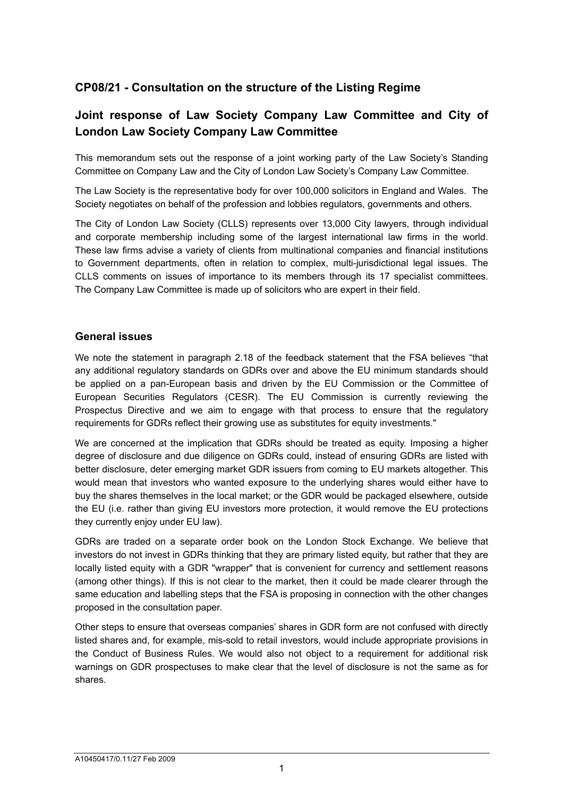# **CP08/21 - Consultation on the structure of the Listing Regime**

# **Joint response of Law Society Company Law Committee and City of London Law Society Company Law Committee**

This memorandum sets out the response of a joint working party of the Law Society's Standing Committee on Company Law and the City of London Law Society's Company Law Committee.

The Law Society is the representative body for over 100,000 solicitors in England and Wales. The Society negotiates on behalf of the profession and lobbies regulators, governments and others.

The City of London Law Society (CLLS) represents over 13,000 City lawyers, through individual and corporate membership including some of the largest international law firms in the world. These law firms advise a variety of clients from multinational companies and financial institutions to Government departments, often in relation to complex, multi-jurisdictional legal issues. The CLLS comments on issues of importance to its members through its 17 specialist committees. The Company Law Committee is made up of solicitors who are expert in their field.

### **General issues**

We note the statement in paragraph 2.18 of the feedback statement that the FSA believes "that any additional regulatory standards on GDRs over and above the EU minimum standards should be applied on a pan-European basis and driven by the EU Commission or the Committee of European Securities Regulators (CESR). The EU Commission is currently reviewing the Prospectus Directive and we aim to engage with that process to ensure that the regulatory requirements for GDRs reflect their growing use as substitutes for equity investments."

We are concerned at the implication that GDRs should be treated as equity. Imposing a higher degree of disclosure and due diligence on GDRs could, instead of ensuring GDRs are listed with better disclosure, deter emerging market GDR issuers from coming to EU markets altogether. This would mean that investors who wanted exposure to the underlying shares would either have to buy the shares themselves in the local market; or the GDR would be packaged elsewhere, outside the EU (i.e. rather than giving EU investors more protection, it would remove the EU protections they currently enjoy under EU law).

GDRs are traded on a separate order book on the London Stock Exchange. We believe that investors do not invest in GDRs thinking that they are primary listed equity, but rather that they are locally listed equity with a GDR "wrapper" that is convenient for currency and settlement reasons (among other things). If this is not clear to the market, then it could be made clearer through the same education and labelling steps that the FSA is proposing in connection with the other changes proposed in the consultation paper.

Other steps to ensure that overseas companies' shares in GDR form are not confused with directly listed shares and, for example, mis-sold to retail investors, would include appropriate provisions in the Conduct of Business Rules. We would also not object to a requirement for additional risk warnings on GDR prospectuses to make clear that the level of disclosure is not the same as for shares.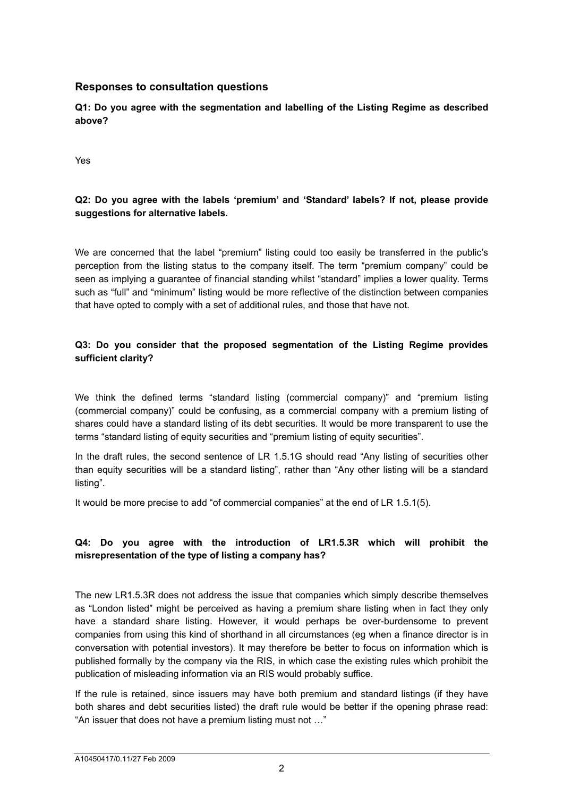### **Responses to consultation questions**

**Q1: Do you agree with the segmentation and labelling of the Listing Regime as described above?** 

Yes

# **Q2: Do you agree with the labels 'premium' and 'Standard' labels? If not, please provide suggestions for alternative labels.**

We are concerned that the label "premium" listing could too easily be transferred in the public's perception from the listing status to the company itself. The term "premium company" could be seen as implying a guarantee of financial standing whilst "standard" implies a lower quality. Terms such as "full" and "minimum" listing would be more reflective of the distinction between companies that have opted to comply with a set of additional rules, and those that have not.

### **Q3: Do you consider that the proposed segmentation of the Listing Regime provides sufficient clarity?**

We think the defined terms "standard listing (commercial company)" and "premium listing (commercial company)" could be confusing, as a commercial company with a premium listing of shares could have a standard listing of its debt securities. It would be more transparent to use the terms "standard listing of equity securities and "premium listing of equity securities".

In the draft rules, the second sentence of LR 1.5.1G should read "Any listing of securities other than equity securities will be a standard listing", rather than "Any other listing will be a standard listing".

It would be more precise to add "of commercial companies" at the end of LR 1.5.1(5).

# **Q4: Do you agree with the introduction of LR1.5.3R which will prohibit the misrepresentation of the type of listing a company has?**

The new LR1.5.3R does not address the issue that companies which simply describe themselves as "London listed" might be perceived as having a premium share listing when in fact they only have a standard share listing. However, it would perhaps be over-burdensome to prevent companies from using this kind of shorthand in all circumstances (eg when a finance director is in conversation with potential investors). It may therefore be better to focus on information which is published formally by the company via the RIS, in which case the existing rules which prohibit the publication of misleading information via an RIS would probably suffice.

If the rule is retained, since issuers may have both premium and standard listings (if they have both shares and debt securities listed) the draft rule would be better if the opening phrase read: "An issuer that does not have a premium listing must not …"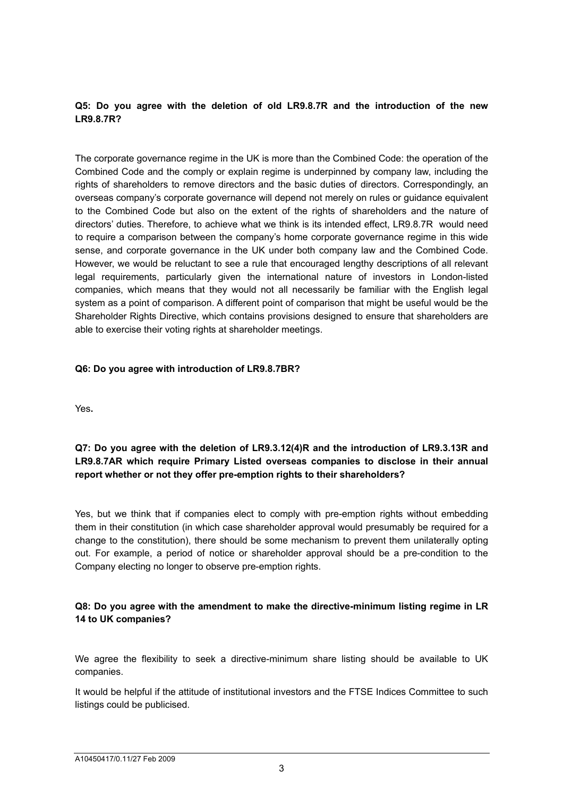### **Q5: Do you agree with the deletion of old LR9.8.7R and the introduction of the new LR9.8.7R?**

The corporate governance regime in the UK is more than the Combined Code: the operation of the Combined Code and the comply or explain regime is underpinned by company law, including the rights of shareholders to remove directors and the basic duties of directors. Correspondingly, an overseas company's corporate governance will depend not merely on rules or guidance equivalent to the Combined Code but also on the extent of the rights of shareholders and the nature of directors' duties. Therefore, to achieve what we think is its intended effect, LR9.8.7R would need to require a comparison between the company's home corporate governance regime in this wide sense, and corporate governance in the UK under both company law and the Combined Code. However, we would be reluctant to see a rule that encouraged lengthy descriptions of all relevant legal requirements, particularly given the international nature of investors in London-listed companies, which means that they would not all necessarily be familiar with the English legal system as a point of comparison. A different point of comparison that might be useful would be the Shareholder Rights Directive, which contains provisions designed to ensure that shareholders are able to exercise their voting rights at shareholder meetings.

#### **Q6: Do you agree with introduction of LR9.8.7BR?**

Yes**.** 

### **Q7: Do you agree with the deletion of LR9.3.12(4)R and the introduction of LR9.3.13R and LR9.8.7AR which require Primary Listed overseas companies to disclose in their annual report whether or not they offer pre-emption rights to their shareholders?**

Yes, but we think that if companies elect to comply with pre-emption rights without embedding them in their constitution (in which case shareholder approval would presumably be required for a change to the constitution), there should be some mechanism to prevent them unilaterally opting out. For example, a period of notice or shareholder approval should be a pre-condition to the Company electing no longer to observe pre-emption rights.

### **Q8: Do you agree with the amendment to make the directive-minimum listing regime in LR 14 to UK companies?**

We agree the flexibility to seek a directive-minimum share listing should be available to UK companies.

It would be helpful if the attitude of institutional investors and the FTSE Indices Committee to such listings could be publicised.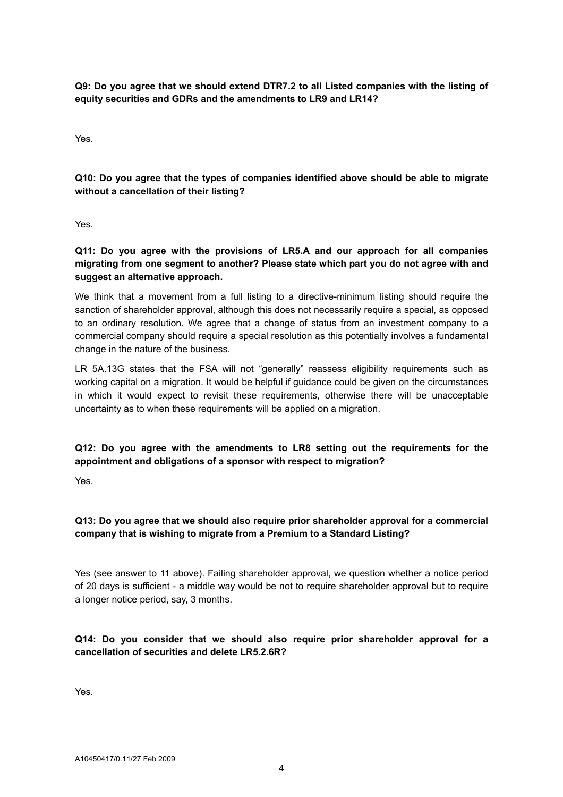**Q9: Do you agree that we should extend DTR7.2 to all Listed companies with the listing of equity securities and GDRs and the amendments to LR9 and LR14?** 

Yes.

**Q10: Do you agree that the types of companies identified above should be able to migrate without a cancellation of their listing?** 

Yes.

**Q11: Do you agree with the provisions of LR5.A and our approach for all companies migrating from one segment to another? Please state which part you do not agree with and suggest an alternative approach.** 

We think that a movement from a full listing to a directive-minimum listing should require the sanction of shareholder approval, although this does not necessarily require a special, as opposed to an ordinary resolution. We agree that a change of status from an investment company to a commercial company should require a special resolution as this potentially involves a fundamental change in the nature of the business.

LR 5A.13G states that the FSA will not "generally" reassess eligibility requirements such as working capital on a migration. It would be helpful if guidance could be given on the circumstances in which it would expect to revisit these requirements, otherwise there will be unacceptable uncertainty as to when these requirements will be applied on a migration.

# **Q12: Do you agree with the amendments to LR8 setting out the requirements for the appointment and obligations of a sponsor with respect to migration?**

Yes.

# **Q13: Do you agree that we should also require prior shareholder approval for a commercial company that is wishing to migrate from a Premium to a Standard Listing?**

Yes (see answer to 11 above). Failing shareholder approval, we question whether a notice period of 20 days is sufficient - a middle way would be not to require shareholder approval but to require a longer notice period, say, 3 months.

# **Q14: Do you consider that we should also require prior shareholder approval for a cancellation of securities and delete LR5.2.6R?**

Yes.